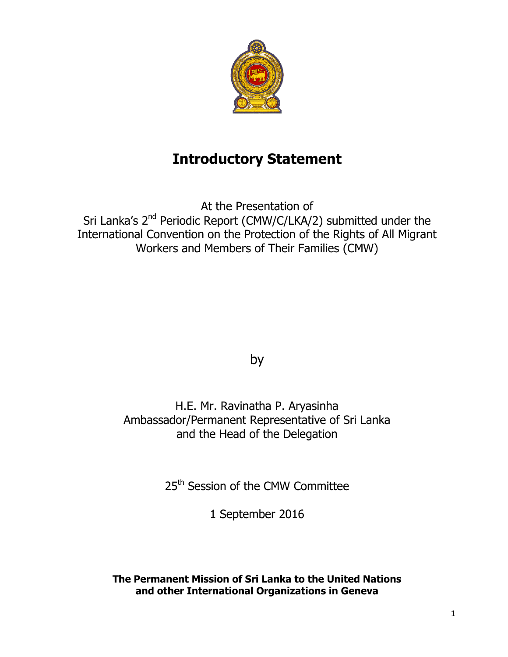

# **Introductory Statement**

At the Presentation of Sri Lanka's 2<sup>nd</sup> Periodic Report (CMW/C/LKA/2) submitted under the International Convention on the Protection of the Rights of All Migrant Workers and Members of Their Families (CMW)

by

H.E. Mr. Ravinatha P. Aryasinha Ambassador/Permanent Representative of Sri Lanka and the Head of the Delegation

25<sup>th</sup> Session of the CMW Committee

1 September 2016

**The Permanent Mission of Sri Lanka to the United Nations and other International Organizations in Geneva**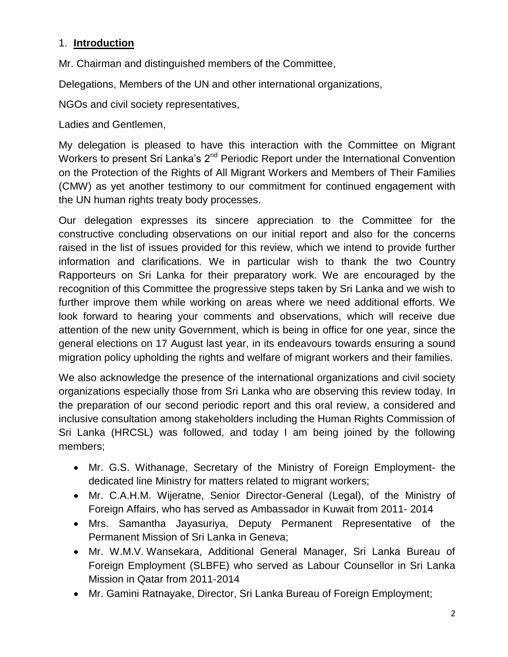# 1. **Introduction**

Mr. Chairman and distinguished members of the Committee,

Delegations, Members of the UN and other international organizations,

NGOs and civil society representatives,

Ladies and Gentlemen,

My delegation is pleased to have this interaction with the Committee on Migrant Workers to present Sri Lanka's 2<sup>nd</sup> Periodic Report under the International Convention on the Protection of the Rights of All Migrant Workers and Members of Their Families (CMW) as yet another testimony to our commitment for continued engagement with the UN human rights treaty body processes.

Our delegation expresses its sincere appreciation to the Committee for the constructive concluding observations on our initial report and also for the concerns raised in the list of issues provided for this review, which we intend to provide further information and clarifications. We in particular wish to thank the two Country Rapporteurs on Sri Lanka for their preparatory work. We are encouraged by the recognition of this Committee the progressive steps taken by Sri Lanka and we wish to further improve them while working on areas where we need additional efforts. We look forward to hearing your comments and observations, which will receive due attention of the new unity Government, which is being in office for one year, since the general elections on 17 August last year, in its endeavours towards ensuring a sound migration policy upholding the rights and welfare of migrant workers and their families.

We also acknowledge the presence of the international organizations and civil society organizations especially those from Sri Lanka who are observing this review today. In the preparation of our second periodic report and this oral review, a considered and inclusive consultation among stakeholders including the Human Rights Commission of Sri Lanka (HRCSL) was followed, and today I am being joined by the following members;

- Mr. G.S. Withanage, Secretary of the Ministry of Foreign Employment- the dedicated line Ministry for matters related to migrant workers;
- Mr. C.A.H.M. Wijeratne, Senior Director-General (Legal), of the Ministry of Foreign Affairs, who has served as Ambassador in Kuwait from 2011- 2014
- Mrs. Samantha Jayasuriya, Deputy Permanent Representative of the Permanent Mission of Sri Lanka in Geneva;
- Mr. W.M.V. Wansekara, Additional General Manager, Sri Lanka Bureau of Foreign Employment (SLBFE) who served as Labour Counsellor in Sri Lanka Mission in Qatar from 2011-2014
- Mr. Gamini Ratnayake, Director, Sri Lanka Bureau of Foreign Employment;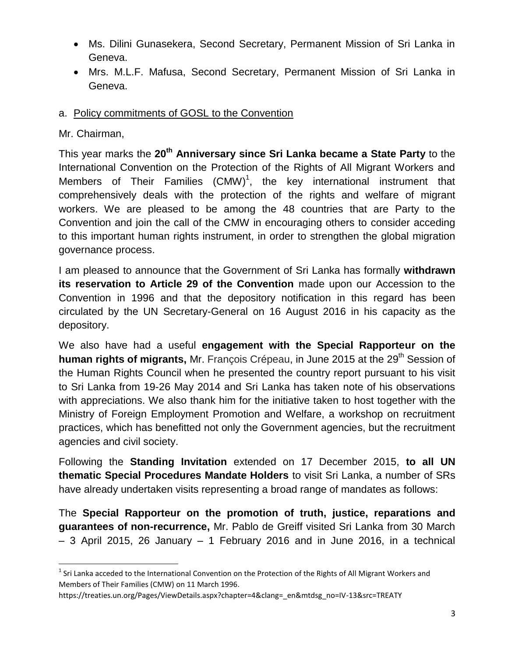- Ms. Dilini Gunasekera, Second Secretary, Permanent Mission of Sri Lanka in Geneva.
- Mrs. M.L.F. Mafusa, Second Secretary, Permanent Mission of Sri Lanka in Geneva.

#### a. Policy commitments of GOSL to the Convention

#### Mr. Chairman,

 $\ddot{\phantom{a}}$ 

This year marks the **20th Anniversary since Sri Lanka became a State Party** to the International Convention on the Protection of the Rights of All Migrant Workers and Members of Their Families  $(CMW)^1$ , the key international instrument that comprehensively deals with the protection of the rights and welfare of migrant workers. We are pleased to be among the 48 countries that are Party to the Convention and join the call of the CMW in encouraging others to consider acceding to this important human rights instrument, in order to strengthen the global migration governance process.

I am pleased to announce that the Government of Sri Lanka has formally **withdrawn its reservation to Article 29 of the Convention** made upon our Accession to the Convention in 1996 and that the depository notification in this regard has been circulated by the UN Secretary-General on 16 August 2016 in his capacity as the depository.

We also have had a useful **engagement with the Special Rapporteur on the human rights of migrants, Mr. François Crépeau, in June 2015 at the 29<sup>th</sup> Session of** the Human Rights Council when he presented the country report pursuant to his visit to Sri Lanka from 19-26 May 2014 and Sri Lanka has taken note of his observations with appreciations. We also thank him for the initiative taken to host together with the Ministry of Foreign Employment Promotion and Welfare, a workshop on recruitment practices, which has benefitted not only the Government agencies, but the recruitment agencies and civil society.

Following the **Standing Invitation** extended on 17 December 2015, **to all UN thematic Special Procedures Mandate Holders** to visit Sri Lanka, a number of SRs have already undertaken visits representing a broad range of mandates as follows:

The **Special Rapporteur on the promotion of truth, justice, reparations and guarantees of non-recurrence,** Mr. Pablo de Greiff visited Sri Lanka from 30 March – 3 April 2015, 26 January – 1 February 2016 and in June 2016, in a technical

 $1$  Sri Lanka acceded to the International Convention on the Protection of the Rights of All Migrant Workers and Members of Their Families (CMW) on 11 March 1996.

https://treaties.un.org/Pages/ViewDetails.aspx?chapter=4&clang=\_en&mtdsg\_no=IV-13&src=TREATY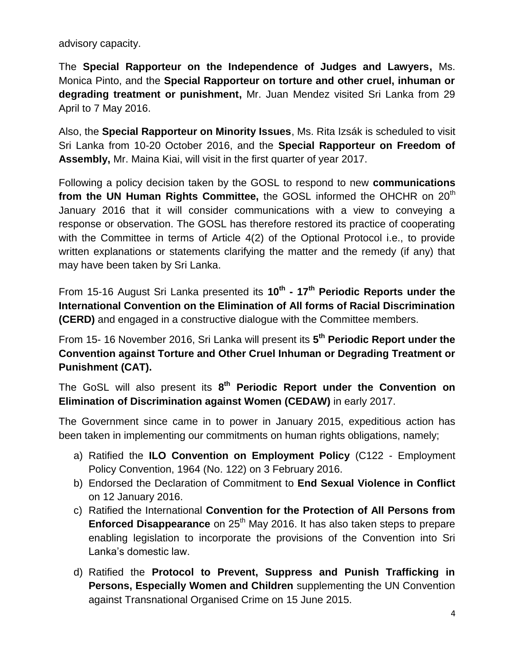advisory capacity.

The **Special Rapporteur on the Independence of Judges and Lawyers,** Ms. Monica Pinto, and the **Special Rapporteur on torture and other cruel, inhuman or degrading treatment or punishment,** Mr. Juan Mendez visited Sri Lanka from 29 April to 7 May 2016.

Also, the **Special Rapporteur on Minority Issues**, Ms. Rita Izsák is scheduled to visit Sri Lanka from 10-20 October 2016, and the **Special Rapporteur on Freedom of Assembly,** Mr. Maina Kiai, will visit in the first quarter of year 2017.

Following a policy decision taken by the GOSL to respond to new **communications from the UN Human Rights Committee,** the GOSL informed the OHCHR on 20<sup>th</sup> January 2016 that it will consider communications with a view to conveying a response or observation. The GOSL has therefore restored its practice of cooperating with the Committee in terms of Article 4(2) of the Optional Protocol i.e., to provide written explanations or statements clarifying the matter and the remedy (if any) that may have been taken by Sri Lanka.

From 15-16 August Sri Lanka presented its **10th - 17th Periodic Reports under the International Convention on the Elimination of All forms of Racial Discrimination (CERD)** and engaged in a constructive dialogue with the Committee members.

From 15- 16 November 2016, Sri Lanka will present its **5 th Periodic Report under the Convention against Torture and Other Cruel Inhuman or Degrading Treatment or Punishment (CAT).**

The GoSL will also present its **8 th Periodic Report under the Convention on Elimination of Discrimination against Women (CEDAW)** in early 2017.

The Government since came in to power in January 2015, expeditious action has been taken in implementing our commitments on human rights obligations, namely;

- a) Ratified the **ILO Convention on Employment Policy** (C122 Employment Policy Convention, 1964 (No. 122) on 3 February 2016.
- b) Endorsed the Declaration of Commitment to **End Sexual Violence in Conflict** on 12 January 2016.
- c) Ratified the International **Convention for the Protection of All Persons from Enforced Disappearance** on 25<sup>th</sup> May 2016. It has also taken steps to prepare enabling legislation to incorporate the provisions of the Convention into Sri Lanka's domestic law.
- d) Ratified the **Protocol to Prevent, Suppress and Punish Trafficking in Persons, Especially Women and Children** supplementing the UN Convention against Transnational Organised Crime on 15 June 2015.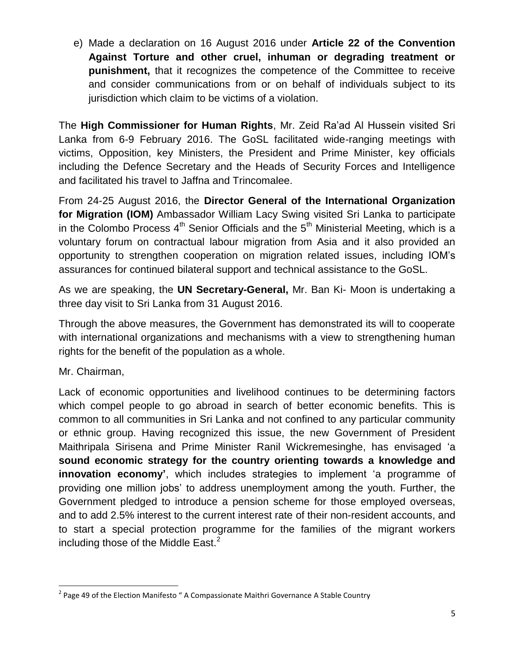e) Made a declaration on 16 August 2016 under **Article 22 of the Convention Against Torture and other cruel, inhuman or degrading treatment or punishment,** that it recognizes the competence of the Committee to receive and consider communications from or on behalf of individuals subject to its jurisdiction which claim to be victims of a violation.

The **High Commissioner for Human Rights**, Mr. Zeid Ra'ad Al Hussein visited Sri Lanka from 6-9 February 2016. The GoSL facilitated wide-ranging meetings with victims, Opposition, key Ministers, the President and Prime Minister, key officials including the Defence Secretary and the Heads of Security Forces and Intelligence and facilitated his travel to Jaffna and Trincomalee.

From 24-25 August 2016, the **Director General of the International Organization for Migration (IOM)** Ambassador William Lacy Swing visited Sri Lanka to participate in the Colombo Process  $4<sup>th</sup>$  Senior Officials and the  $5<sup>th</sup>$  Ministerial Meeting, which is a voluntary forum on contractual labour migration from Asia and it also provided an opportunity to strengthen cooperation on migration related issues, including IOM's assurances for continued bilateral support and technical assistance to the GoSL.

As we are speaking, the **UN Secretary-General,** Mr. Ban Ki- Moon is undertaking a three day visit to Sri Lanka from 31 August 2016.

Through the above measures, the Government has demonstrated its will to cooperate with international organizations and mechanisms with a view to strengthening human rights for the benefit of the population as a whole.

Mr. Chairman,

Lack of economic opportunities and livelihood continues to be determining factors which compel people to go abroad in search of better economic benefits. This is common to all communities in Sri Lanka and not confined to any particular community or ethnic group. Having recognized this issue, the new Government of President Maithripala Sirisena and Prime Minister Ranil Wickremesinghe, has envisaged 'a **sound economic strategy for the country orienting towards a knowledge and innovation economy'**, which includes strategies to implement 'a programme of providing one million jobs' to address unemployment among the youth. Further, the Government pledged to introduce a pension scheme for those employed overseas, and to add 2.5% interest to the current interest rate of their non-resident accounts, and to start a special protection programme for the families of the migrant workers including those of the Middle East. $<sup>2</sup>$ </sup>

 $\overline{a}$ <sup>2</sup> Page 49 of the Election Manifesto " A Compassionate Maithri Governance A Stable Country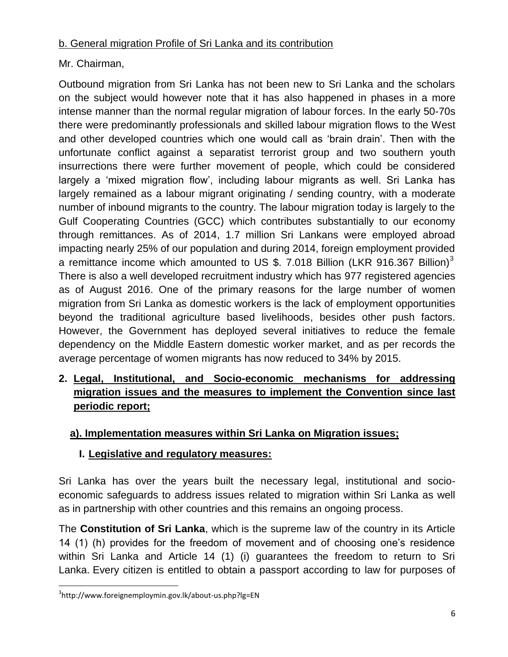# b. General migration Profile of Sri Lanka and its contribution

# Mr. Chairman,

Outbound migration from Sri Lanka has not been new to Sri Lanka and the scholars on the subject would however note that it has also happened in phases in a more intense manner than the normal regular migration of labour forces. In the early 50-70s there were predominantly professionals and skilled labour migration flows to the West and other developed countries which one would call as 'brain drain'. Then with the unfortunate conflict against a separatist terrorist group and two southern youth insurrections there were further movement of people, which could be considered largely a 'mixed migration flow', including labour migrants as well. Sri Lanka has largely remained as a labour migrant originating / sending country, with a moderate number of inbound migrants to the country. The labour migration today is largely to the Gulf Cooperating Countries (GCC) which contributes substantially to our economy through remittances. As of 2014, 1.7 million Sri Lankans were employed abroad impacting nearly 25% of our population and during 2014, foreign employment provided a remittance income which amounted to US \$. 7.018 Billion (LKR 916.367 Billion)<sup>3</sup> There is also a well developed recruitment industry which has 977 registered agencies as of August 2016. One of the primary reasons for the large number of women migration from Sri Lanka as domestic workers is the lack of employment opportunities beyond the traditional agriculture based livelihoods, besides other push factors. However, the Government has deployed several initiatives to reduce the female dependency on the Middle Eastern domestic worker market, and as per records the average percentage of women migrants has now reduced to 34% by 2015.

# **2. Legal, Institutional, and Socio-economic mechanisms for addressing migration issues and the measures to implement the Convention since last periodic report;**

# **a). Implementation measures within Sri Lanka on Migration issues;**

# **I. Legislative and regulatory measures:**

Sri Lanka has over the years built the necessary legal, institutional and socioeconomic safeguards to address issues related to migration within Sri Lanka as well as in partnership with other countries and this remains an ongoing process.

The **Constitution of Sri Lanka**, which is the supreme law of the country in its Article 14 (1) (h) provides for the freedom of movement and of choosing one's residence within Sri Lanka and Article 14 (1) (i) guarantees the freedom to return to Sri Lanka. Every citizen is entitled to obtain a passport according to law for purposes of

<sup>3</sup> http://www.foreignemploymin.gov.lk/about-us.php?lg=EN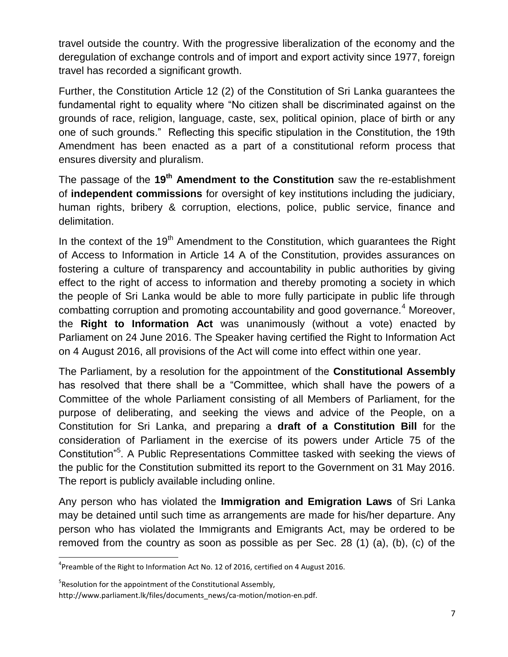travel outside the country. With the progressive liberalization of the economy and the deregulation of exchange controls and of import and export activity since 1977, foreign travel has recorded a significant growth.

Further, the Constitution Article 12 (2) of the Constitution of Sri Lanka guarantees the fundamental right to equality where "No citizen shall be discriminated against on the grounds of race, religion, language, caste, sex, political opinion, place of birth or any one of such grounds." Reflecting this specific stipulation in the Constitution, the 19th Amendment has been enacted as a part of a constitutional reform process that ensures diversity and pluralism.

The passage of the **19th Amendment to the Constitution** saw the re-establishment of **independent commissions** for oversight of key institutions including the judiciary, human rights, bribery & corruption, elections, police, public service, finance and delimitation.

In the context of the  $19<sup>th</sup>$  Amendment to the Constitution, which guarantees the Right of Access to Information in Article 14 A of the Constitution, provides assurances on fostering a culture of transparency and accountability in public authorities by giving effect to the right of access to information and thereby promoting a society in which the people of Sri Lanka would be able to more fully participate in public life through combatting corruption and promoting accountability and good governance.<sup>4</sup> Moreover, the **Right to Information Act** was unanimously (without a vote) enacted by Parliament on 24 June 2016. The Speaker having certified the Right to Information Act on 4 August 2016, all provisions of the Act will come into effect within one year.

The Parliament, by a resolution for the appointment of the **Constitutional Assembly** has resolved that there shall be a "Committee, which shall have the powers of a Committee of the whole Parliament consisting of all Members of Parliament, for the purpose of deliberating, and seeking the views and advice of the People, on a Constitution for Sri Lanka, and preparing a **draft of a Constitution Bill** for the consideration of Parliament in the exercise of its powers under Article 75 of the Constitution<sup>"5</sup>. A Public Representations Committee tasked with seeking the views of the public for the Constitution submitted its report to the Government on 31 May 2016. The report is publicly available including online.

Any person who has violated the **Immigration and Emigration Laws** of Sri Lanka may be detained until such time as arrangements are made for his/her departure. Any person who has violated the Immigrants and Emigrants Act, may be ordered to be removed from the country as soon as possible as per Sec. 28 (1) (a), (b), (c) of the

 $\ddot{\phantom{a}}$ 

 ${}^{4}$ Preamble of the Right to Information Act No. 12 of 2016, certified on 4 August 2016.

<sup>&</sup>lt;sup>5</sup>Resolution for the appointment of the Constitutional Assembly,

http://www.parliament.lk/files/documents\_news/ca-motion/motion-en.pdf.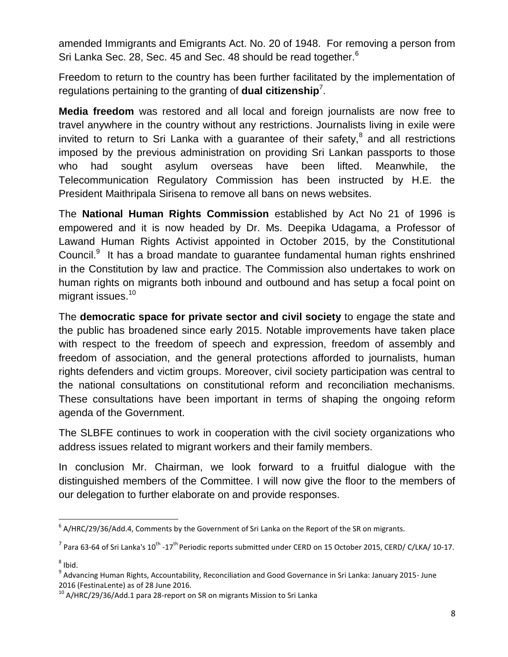amended Immigrants and Emigrants Act. No. 20 of 1948. For removing a person from Sri Lanka Sec. 28, Sec. 45 and Sec. 48 should be read together.<sup>6</sup>

Freedom to return to the country has been further facilitated by the implementation of regulations pertaining to the granting of **dual citizenship**<sup>7</sup> .

**Media freedom** was restored and all local and foreign journalists are now free to travel anywhere in the country without any restrictions. Journalists living in exile were invited to return to Sri Lanka with a guarantee of their safety, $^8$  and all restrictions imposed by the previous administration on providing Sri Lankan passports to those who had sought asylum overseas have been lifted. Meanwhile, the Telecommunication Regulatory Commission has been instructed by H.E. the President Maithripala Sirisena to remove all bans on news websites.

The **National Human Rights Commission** established by Act No 21 of 1996 is empowered and it is now headed by Dr. Ms. Deepika Udagama, a Professor of Lawand Human Rights Activist appointed in October 2015, by the Constitutional Council.<sup>9</sup> It has a broad mandate to guarantee fundamental human rights enshrined in the Constitution by law and practice. The Commission also undertakes to work on human rights on migrants both inbound and outbound and has setup a focal point on migrant issues.<sup>10</sup>

The **democratic space for private sector and civil society** to engage the state and the public has broadened since early 2015. Notable improvements have taken place with respect to the freedom of speech and expression, freedom of assembly and freedom of association, and the general protections afforded to journalists, human rights defenders and victim groups. Moreover, civil society participation was central to the national consultations on constitutional reform and reconciliation mechanisms. These consultations have been important in terms of shaping the ongoing reform agenda of the Government.

The SLBFE continues to work in cooperation with the civil society organizations who address issues related to migrant workers and their family members.

In conclusion Mr. Chairman, we look forward to a fruitful dialogue with the distinguished members of the Committee. I will now give the floor to the members of our delegation to further elaborate on and provide responses.

 $^6$  A/HRC/29/36/Add.4, Comments by the Government of Sri Lanka on the Report of the SR on migrants.

<sup>&</sup>lt;sup>7</sup> Para 63-64 of Sri Lanka's 10<sup>th</sup> -17<sup>th</sup> Periodic reports submitted under CERD on 15 October 2015, CERD/ C/LKA/ 10-17.

 $<sup>8</sup>$  Ibid.</sup>

<sup>&</sup>lt;sup>9</sup> Advancing Human Rights, Accountability, Reconciliation and Good Governance in Sri Lanka: January 2015- June 2016 (FestinaLente) as of 28 June 2016.

 $^{10}$  A/HRC/29/36/Add.1 para 28-report on SR on migrants Mission to Sri Lanka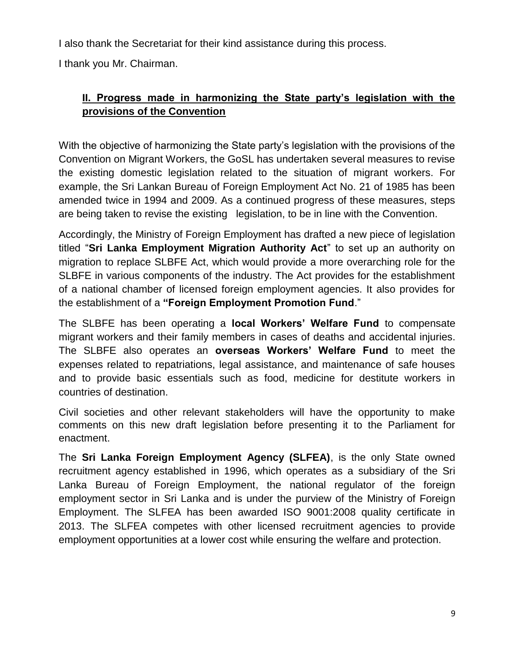I also thank the Secretariat for their kind assistance during this process.

I thank you Mr. Chairman.

# **II. Progress made in harmonizing the State party's legislation with the provisions of the Convention**

With the objective of harmonizing the State party's legislation with the provisions of the Convention on Migrant Workers, the GoSL has undertaken several measures to revise the existing domestic legislation related to the situation of migrant workers. For example, the Sri Lankan Bureau of Foreign Employment Act No. 21 of 1985 has been amended twice in 1994 and 2009. As a continued progress of these measures, steps are being taken to revise the existing legislation, to be in line with the Convention.

Accordingly, the Ministry of Foreign Employment has drafted a new piece of legislation titled "**Sri Lanka Employment Migration Authority Act**" to set up an authority on migration to replace SLBFE Act, which would provide a more overarching role for the SLBFE in various components of the industry. The Act provides for the establishment of a national chamber of licensed foreign employment agencies. It also provides for the establishment of a **"Foreign Employment Promotion Fund**."

The SLBFE has been operating a **local Workers' Welfare Fund** to compensate migrant workers and their family members in cases of deaths and accidental injuries. The SLBFE also operates an **overseas Workers' Welfare Fund** to meet the expenses related to repatriations, legal assistance, and maintenance of safe houses and to provide basic essentials such as food, medicine for destitute workers in countries of destination.

Civil societies and other relevant stakeholders will have the opportunity to make comments on this new draft legislation before presenting it to the Parliament for enactment.

The **Sri Lanka Foreign Employment Agency (SLFEA)**, is the only State owned recruitment agency established in 1996, which operates as a subsidiary of the Sri Lanka Bureau of Foreign Employment, the national regulator of the foreign employment sector in Sri Lanka and is under the purview of the Ministry of Foreign Employment. The SLFEA has been awarded ISO 9001:2008 quality certificate in 2013. The SLFEA competes with other licensed recruitment agencies to provide employment opportunities at a lower cost while ensuring the welfare and protection.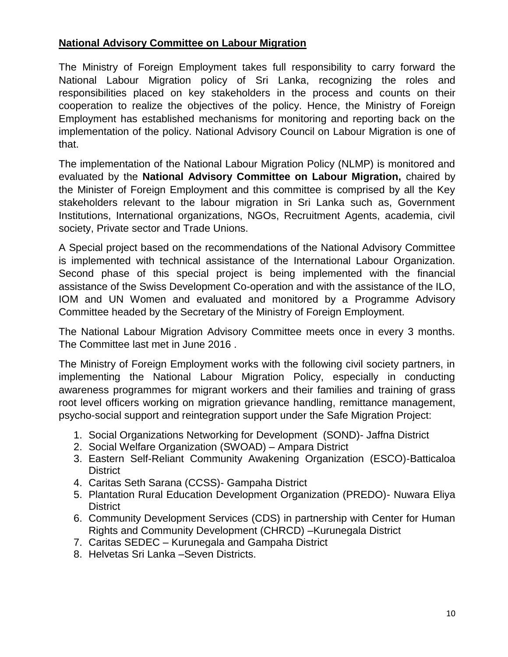#### **National Advisory Committee on Labour Migration**

The Ministry of Foreign Employment takes full responsibility to carry forward the National Labour Migration policy of Sri Lanka, recognizing the roles and responsibilities placed on key stakeholders in the process and counts on their cooperation to realize the objectives of the policy. Hence, the Ministry of Foreign Employment has established mechanisms for monitoring and reporting back on the implementation of the policy. National Advisory Council on Labour Migration is one of that.

The implementation of the National Labour Migration Policy (NLMP) is monitored and evaluated by the **National Advisory Committee on Labour Migration,** chaired by the Minister of Foreign Employment and this committee is comprised by all the Key stakeholders relevant to the labour migration in Sri Lanka such as, Government Institutions, International organizations, NGOs, Recruitment Agents, academia, civil society, Private sector and Trade Unions.

A Special project based on the recommendations of the National Advisory Committee is implemented with technical assistance of the International Labour Organization. Second phase of this special project is being implemented with the financial assistance of the Swiss Development Co-operation and with the assistance of the ILO, IOM and UN Women and evaluated and monitored by a Programme Advisory Committee headed by the Secretary of the Ministry of Foreign Employment.

The National Labour Migration Advisory Committee meets once in every 3 months. The Committee last met in June 2016 .

The Ministry of Foreign Employment works with the following civil society partners, in implementing the National Labour Migration Policy, especially in conducting awareness programmes for migrant workers and their families and training of grass root level officers working on migration grievance handling, remittance management, psycho-social support and reintegration support under the Safe Migration Project:

- 1. Social Organizations Networking for Development (SOND)- Jaffna District
- 2. Social Welfare Organization (SWOAD) Ampara District
- 3. Eastern Self-Reliant Community Awakening Organization (ESCO)-Batticaloa **District**
- 4. Caritas Seth Sarana (CCSS)- Gampaha District
- 5. Plantation Rural Education Development Organization (PREDO)- Nuwara Eliya **District**
- 6. Community Development Services (CDS) in partnership with Center for Human Rights and Community Development (CHRCD) –Kurunegala District
- 7. Caritas SEDEC Kurunegala and Gampaha District
- 8. Helvetas Sri Lanka –Seven Districts.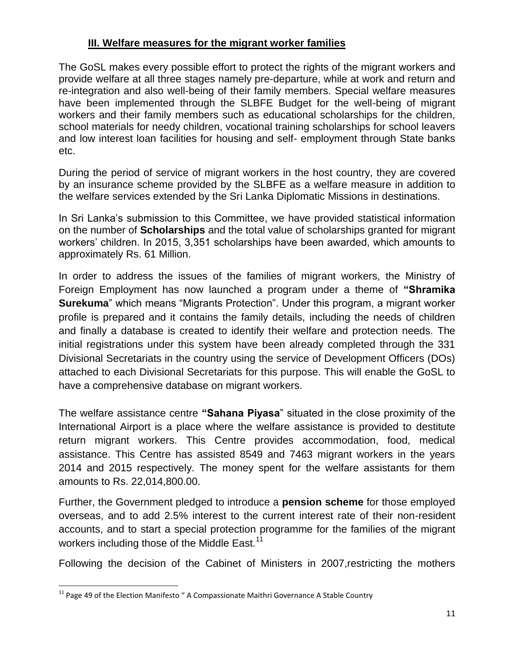#### **III. Welfare measures for the migrant worker families**

The GoSL makes every possible effort to protect the rights of the migrant workers and provide welfare at all three stages namely pre-departure, while at work and return and re-integration and also well-being of their family members. Special welfare measures have been implemented through the SLBFE Budget for the well-being of migrant workers and their family members such as educational scholarships for the children, school materials for needy children, vocational training scholarships for school leavers and low interest loan facilities for housing and self- employment through State banks etc.

During the period of service of migrant workers in the host country, they are covered by an insurance scheme provided by the SLBFE as a welfare measure in addition to the welfare services extended by the Sri Lanka Diplomatic Missions in destinations.

In Sri Lanka's submission to this Committee, we have provided statistical information on the number of **Scholarships** and the total value of scholarships granted for migrant workers' children. In 2015, 3,351 scholarships have been awarded, which amounts to approximately Rs. 61 Million.

In order to address the issues of the families of migrant workers, the Ministry of Foreign Employment has now launched a program under a theme of **"Shramika Surekuma**" which means "Migrants Protection". Under this program, a migrant worker profile is prepared and it contains the family details, including the needs of children and finally a database is created to identify their welfare and protection needs. The initial registrations under this system have been already completed through the 331 Divisional Secretariats in the country using the service of Development Officers (DOs) attached to each Divisional Secretariats for this purpose. This will enable the GoSL to have a comprehensive database on migrant workers.

The welfare assistance centre **"Sahana Piyasa**" situated in the close proximity of the International Airport is a place where the welfare assistance is provided to destitute return migrant workers. This Centre provides accommodation, food, medical assistance. This Centre has assisted 8549 and 7463 migrant workers in the years 2014 and 2015 respectively. The money spent for the welfare assistants for them amounts to Rs. 22,014,800.00.

Further, the Government pledged to introduce a **pension scheme** for those employed overseas, and to add 2.5% interest to the current interest rate of their non-resident accounts, and to start a special protection programme for the families of the migrant workers including those of the Middle East.<sup>11</sup>

Following the decision of the Cabinet of Ministers in 2007,restricting the mothers

 $11$  Page 49 of the Election Manifesto " A Compassionate Maithri Governance A Stable Country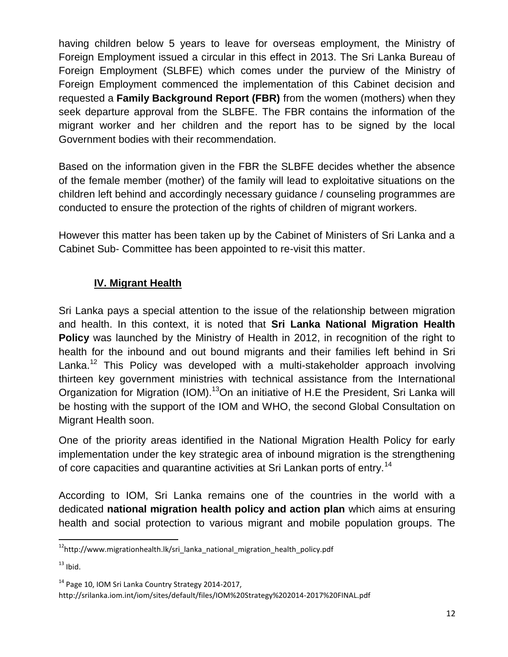having children below 5 years to leave for overseas employment, the Ministry of Foreign Employment issued a circular in this effect in 2013. The Sri Lanka Bureau of Foreign Employment (SLBFE) which comes under the purview of the Ministry of Foreign Employment commenced the implementation of this Cabinet decision and requested a **Family Background Report (FBR)** from the women (mothers) when they seek departure approval from the SLBFE. The FBR contains the information of the migrant worker and her children and the report has to be signed by the local Government bodies with their recommendation.

Based on the information given in the FBR the SLBFE decides whether the absence of the female member (mother) of the family will lead to exploitative situations on the children left behind and accordingly necessary guidance / counseling programmes are conducted to ensure the protection of the rights of children of migrant workers.

However this matter has been taken up by the Cabinet of Ministers of Sri Lanka and a Cabinet Sub- Committee has been appointed to re-visit this matter.

# **IV. Migrant Health**

Sri Lanka pays a special attention to the issue of the relationship between migration and health. In this context, it is noted that **Sri Lanka National Migration Health Policy** was launched by the Ministry of Health in 2012, in recognition of the right to health for the inbound and out bound migrants and their families left behind in Sri Lanka.<sup>12</sup> This Policy was developed with a multi-stakeholder approach involving thirteen key government ministries with technical assistance from the International Organization for Migration (IOM).<sup>13</sup>On an initiative of H.E the President, Sri Lanka will be hosting with the support of the IOM and WHO, the second Global Consultation on Migrant Health soon.

One of the priority areas identified in the National Migration Health Policy for early implementation under the key strategic area of inbound migration is the strengthening of core capacities and quarantine activities at Sri Lankan ports of entry.<sup>14</sup>

According to IOM, Sri Lanka remains one of the countries in the world with a dedicated **national migration health policy and action plan** which aims at ensuring health and social protection to various migrant and mobile population groups. The

 $12$ http://www.migrationhealth.lk/sri\_lanka\_national\_migration\_health\_policy.pdf

 $13$  Ibid.

<sup>&</sup>lt;sup>14</sup> Page 10, IOM Sri Lanka Country Strategy 2014-2017,

http://srilanka.iom.int/iom/sites/default/files/IOM%20Strategy%202014-2017%20FINAL.pdf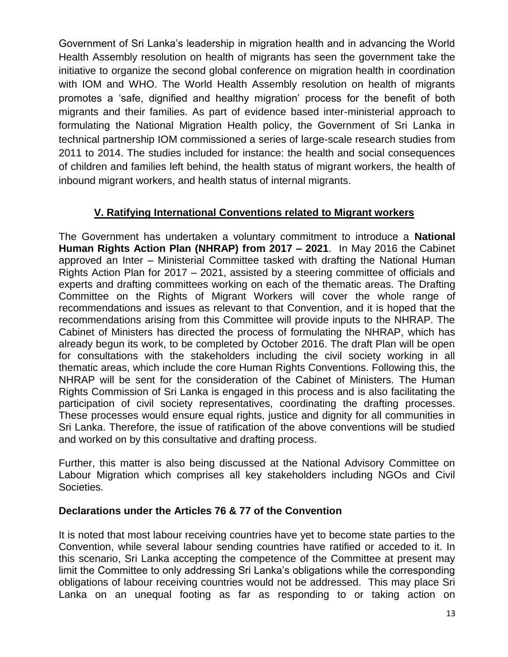Government of Sri Lanka's leadership in migration health and in advancing the World Health Assembly resolution on health of migrants has seen the government take the initiative to organize the second global conference on migration health in coordination with IOM and WHO. The World Health Assembly resolution on health of migrants promotes a 'safe, dignified and healthy migration' process for the benefit of both migrants and their families. As part of evidence based inter-ministerial approach to formulating the National Migration Health policy, the Government of Sri Lanka in technical partnership IOM commissioned a series of large-scale research studies from 2011 to 2014. The studies included for instance: the health and social consequences of children and families left behind, the health status of migrant workers, the health of inbound migrant workers, and health status of internal migrants.

#### **V. Ratifying International Conventions related to Migrant workers**

The Government has undertaken a voluntary commitment to introduce a **National Human Rights Action Plan (NHRAP) from 2017 – 2021**. In May 2016 the Cabinet approved an Inter – Ministerial Committee tasked with drafting the National Human Rights Action Plan for 2017 – 2021, assisted by a steering committee of officials and experts and drafting committees working on each of the thematic areas. The Drafting Committee on the Rights of Migrant Workers will cover the whole range of recommendations and issues as relevant to that Convention, and it is hoped that the recommendations arising from this Committee will provide inputs to the NHRAP. The Cabinet of Ministers has directed the process of formulating the NHRAP, which has already begun its work, to be completed by October 2016. The draft Plan will be open for consultations with the stakeholders including the civil society working in all thematic areas, which include the core Human Rights Conventions. Following this, the NHRAP will be sent for the consideration of the Cabinet of Ministers. The Human Rights Commission of Sri Lanka is engaged in this process and is also facilitating the participation of civil society representatives, coordinating the drafting processes. These processes would ensure equal rights, justice and dignity for all communities in Sri Lanka. Therefore, the issue of ratification of the above conventions will be studied and worked on by this consultative and drafting process.

Further, this matter is also being discussed at the National Advisory Committee on Labour Migration which comprises all key stakeholders including NGOs and Civil Societies.

#### **Declarations under the Articles 76 & 77 of the Convention**

It is noted that most labour receiving countries have yet to become state parties to the Convention, while several labour sending countries have ratified or acceded to it. In this scenario, Sri Lanka accepting the competence of the Committee at present may limit the Committee to only addressing Sri Lanka's obligations while the corresponding obligations of labour receiving countries would not be addressed. This may place Sri Lanka on an unequal footing as far as responding to or taking action on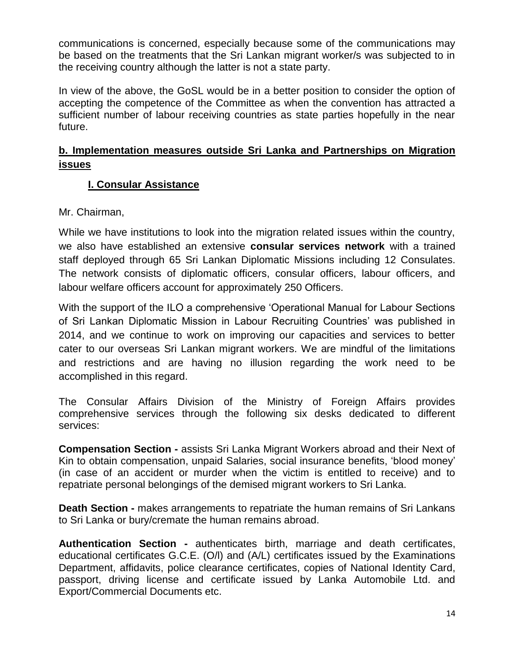communications is concerned, especially because some of the communications may be based on the treatments that the Sri Lankan migrant worker/s was subjected to in the receiving country although the latter is not a state party.

In view of the above, the GoSL would be in a better position to consider the option of accepting the competence of the Committee as when the convention has attracted a sufficient number of labour receiving countries as state parties hopefully in the near future.

#### **b. Implementation measures outside Sri Lanka and Partnerships on Migration issues**

# **I. Consular Assistance**

Mr. Chairman,

While we have institutions to look into the migration related issues within the country, we also have established an extensive **consular services network** with a trained staff deployed through 65 Sri Lankan Diplomatic Missions including 12 Consulates. The network consists of diplomatic officers, consular officers, labour officers, and labour welfare officers account for approximately 250 Officers.

With the support of the ILO a comprehensive 'Operational Manual for Labour Sections of Sri Lankan Diplomatic Mission in Labour Recruiting Countries' was published in 2014, and we continue to work on improving our capacities and services to better cater to our overseas Sri Lankan migrant workers. We are mindful of the limitations and restrictions and are having no illusion regarding the work need to be accomplished in this regard.

The Consular Affairs Division of the Ministry of Foreign Affairs provides comprehensive services through the following six desks dedicated to different services:

**Compensation Section -** assists Sri Lanka Migrant Workers abroad and their Next of Kin to obtain compensation, unpaid Salaries, social insurance benefits, 'blood money' (in case of an accident or murder when the victim is entitled to receive) and to repatriate personal belongings of the demised migrant workers to Sri Lanka.

**Death Section -** makes arrangements to repatriate the human remains of Sri Lankans to Sri Lanka or bury/cremate the human remains abroad.

**Authentication Section -** authenticates birth, marriage and death certificates, educational certificates G.C.E. (O/l) and (A/L) certificates issued by the Examinations Department, affidavits, police clearance certificates, copies of National Identity Card, passport, driving license and certificate issued by Lanka Automobile Ltd. and Export/Commercial Documents etc.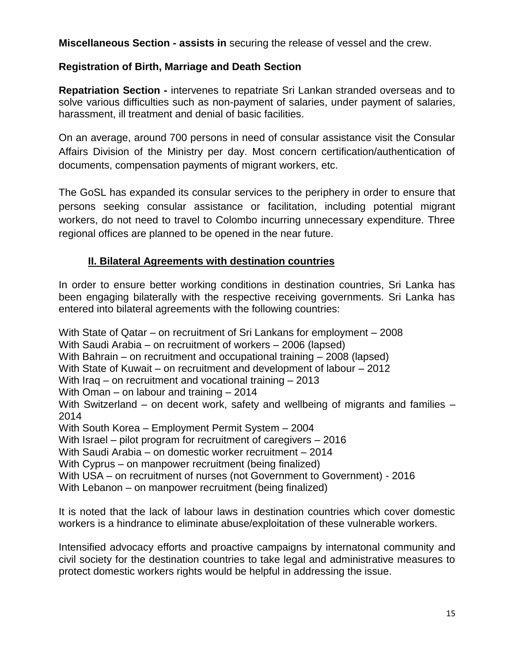**Miscellaneous Section - assists in** securing the release of vessel and the crew.

#### **Registration of Birth, Marriage and Death Section**

**Repatriation Section -** intervenes to repatriate Sri Lankan stranded overseas and to solve various difficulties such as non-payment of salaries, under payment of salaries, harassment, ill treatment and denial of basic facilities.

On an average, around 700 persons in need of consular assistance visit the Consular Affairs Division of the Ministry per day. Most concern certification/authentication of documents, compensation payments of migrant workers, etc.

The GoSL has expanded its consular services to the periphery in order to ensure that persons seeking consular assistance or facilitation, including potential migrant workers, do not need to travel to Colombo incurring unnecessary expenditure. Three regional offices are planned to be opened in the near future.

# **II. Bilateral Agreements with destination countries**

In order to ensure better working conditions in destination countries, Sri Lanka has been engaging bilaterally with the respective receiving governments. Sri Lanka has entered into bilateral agreements with the following countries:

With State of Qatar – on recruitment of Sri Lankans for employment – 2008 With Saudi Arabia – on recruitment of workers – 2006 (lapsed) With Bahrain – on recruitment and occupational training – 2008 (lapsed) With State of Kuwait – on recruitment and development of labour – 2012 With Iraq – on recruitment and vocational training – 2013 With Oman – on labour and training – 2014 With Switzerland – on decent work, safety and wellbeing of migrants and families – 2014 With South Korea – Employment Permit System – 2004 With Israel – pilot program for recruitment of caregivers – 2016 With Saudi Arabia – on domestic worker recruitment – 2014 With Cyprus – on manpower recruitment (being finalized) With USA – on recruitment of nurses (not Government to Government) - 2016 With Lebanon – on manpower recruitment (being finalized)

It is noted that the lack of labour laws in destination countries which cover domestic workers is a hindrance to eliminate abuse/exploitation of these vulnerable workers.

Intensified advocacy efforts and proactive campaigns by internatonal community and civil society for the destination countries to take legal and administrative measures to protect domestic workers rights would be helpful in addressing the issue.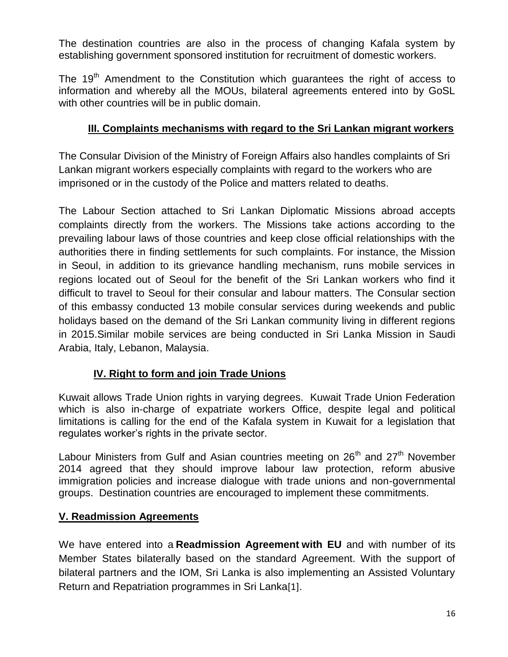The destination countries are also in the process of changing Kafala system by establishing government sponsored institution for recruitment of domestic workers.

The 19<sup>th</sup> Amendment to the Constitution which guarantees the right of access to information and whereby all the MOUs, bilateral agreements entered into by GoSL with other countries will be in public domain.

# **III. Complaints mechanisms with regard to the Sri Lankan migrant workers**

The Consular Division of the Ministry of Foreign Affairs also handles complaints of Sri Lankan migrant workers especially complaints with regard to the workers who are imprisoned or in the custody of the Police and matters related to deaths.

The Labour Section attached to Sri Lankan Diplomatic Missions abroad accepts complaints directly from the workers. The Missions take actions according to the prevailing labour laws of those countries and keep close official relationships with the authorities there in finding settlements for such complaints. For instance, the Mission in Seoul, in addition to its grievance handling mechanism, runs mobile services in regions located out of Seoul for the benefit of the Sri Lankan workers who find it difficult to travel to Seoul for their consular and labour matters. The Consular section of this embassy conducted 13 mobile consular services during weekends and public holidays based on the demand of the Sri Lankan community living in different regions in 2015.Similar mobile services are being conducted in Sri Lanka Mission in Saudi Arabia, Italy, Lebanon, Malaysia.

# **IV. Right to form and join Trade Unions**

Kuwait allows Trade Union rights in varying degrees. Kuwait Trade Union Federation which is also in-charge of expatriate workers Office, despite legal and political limitations is calling for the end of the Kafala system in Kuwait for a legislation that regulates worker's rights in the private sector.

Labour Ministers from Gulf and Asian countries meeting on 26<sup>th</sup> and 27<sup>th</sup> November 2014 agreed that they should improve labour law protection, reform abusive immigration policies and increase dialogue with trade unions and non-governmental groups. Destination countries are encouraged to implement these commitments.

# **V. Readmission Agreements**

We have entered into a **Readmission Agreement with EU** and with number of its Member States bilaterally based on the standard Agreement. With the support of bilateral partners and the IOM, Sri Lanka is also implementing an Assisted Voluntary Return and Repatriation programmes in Sri Lanka[\[1\]](https://mail.google.com/mail/u/0/#m_3029265395798244848__ftn1).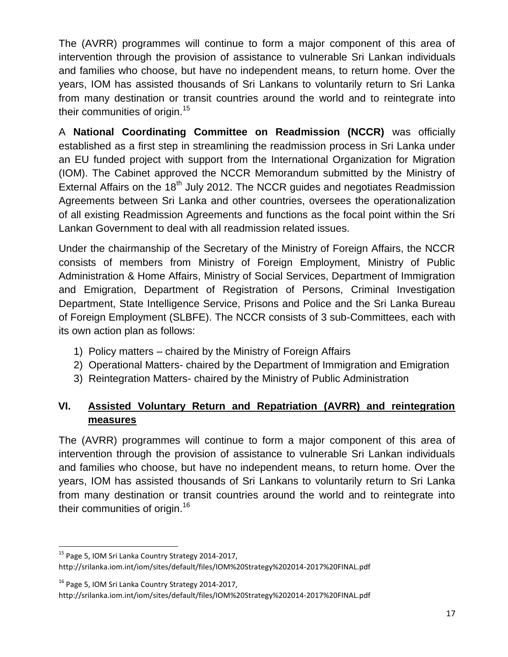The (AVRR) programmes will continue to form a major component of this area of intervention through the provision of assistance to vulnerable Sri Lankan individuals and families who choose, but have no independent means, to return home. Over the years, IOM has assisted thousands of Sri Lankans to voluntarily return to Sri Lanka from many destination or transit countries around the world and to reintegrate into their communities of origin.<sup>15</sup>

A **National Coordinating Committee on Readmission (NCCR)** was officially established as a first step in streamlining the readmission process in Sri Lanka under an EU funded project with support from the International Organization for Migration (IOM). The Cabinet approved the NCCR Memorandum submitted by the Ministry of External Affairs on the  $18<sup>th</sup>$  July 2012. The NCCR guides and negotiates Readmission Agreements between Sri Lanka and other countries, oversees the operationalization of all existing Readmission Agreements and functions as the focal point within the Sri Lankan Government to deal with all readmission related issues.

Under the chairmanship of the Secretary of the Ministry of Foreign Affairs, the NCCR consists of members from Ministry of Foreign Employment, Ministry of Public Administration & Home Affairs, Ministry of Social Services, Department of Immigration and Emigration, Department of Registration of Persons, Criminal Investigation Department, State Intelligence Service, Prisons and Police and the Sri Lanka Bureau of Foreign Employment (SLBFE). The NCCR consists of 3 sub-Committees, each with its own action plan as follows:

- 1) Policy matters chaired by the Ministry of Foreign Affairs
- 2) Operational Matters- chaired by the Department of Immigration and Emigration
- 3) Reintegration Matters- chaired by the Ministry of Public Administration

# **VI. Assisted Voluntary Return and Repatriation (AVRR) and reintegration measures**

The (AVRR) programmes will continue to form a major component of this area of intervention through the provision of assistance to vulnerable Sri Lankan individuals and families who choose, but have no independent means, to return home. Over the years, IOM has assisted thousands of Sri Lankans to voluntarily return to Sri Lanka from many destination or transit countries around the world and to reintegrate into their communities of origin.<sup>16</sup>

<sup>&</sup>lt;sup>15</sup> Page 5, IOM Sri Lanka Country Strategy 2014-2017, http://srilanka.iom.int/iom/sites/default/files/IOM%20Strategy%202014-2017%20FINAL.pdf

<sup>&</sup>lt;sup>16</sup> Page 5, IOM Sri Lanka Country Strategy 2014-2017,

http://srilanka.iom.int/iom/sites/default/files/IOM%20Strategy%202014-2017%20FINAL.pdf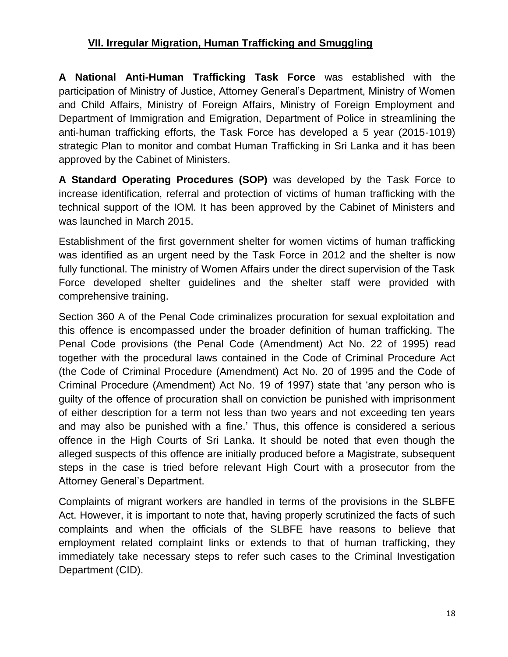# **VII. Irregular Migration, Human Trafficking and Smuggling**

**A National Anti-Human Trafficking Task Force** was established with the participation of Ministry of Justice, Attorney General's Department, Ministry of Women and Child Affairs, Ministry of Foreign Affairs, Ministry of Foreign Employment and Department of Immigration and Emigration, Department of Police in streamlining the anti-human trafficking efforts, the Task Force has developed a 5 year (2015-1019) strategic Plan to monitor and combat Human Trafficking in Sri Lanka and it has been approved by the Cabinet of Ministers.

**A Standard Operating Procedures (SOP)** was developed by the Task Force to increase identification, referral and protection of victims of human trafficking with the technical support of the IOM. It has been approved by the Cabinet of Ministers and was launched in March 2015.

Establishment of the first government shelter for women victims of human trafficking was identified as an urgent need by the Task Force in 2012 and the shelter is now fully functional. The ministry of Women Affairs under the direct supervision of the Task Force developed shelter guidelines and the shelter staff were provided with comprehensive training.

Section 360 A of the Penal Code criminalizes procuration for sexual exploitation and this offence is encompassed under the broader definition of human trafficking. The Penal Code provisions (the Penal Code (Amendment) Act No. 22 of 1995) read together with the procedural laws contained in the Code of Criminal Procedure Act (the Code of Criminal Procedure (Amendment) Act No. 20 of 1995 and the Code of Criminal Procedure (Amendment) Act No. 19 of 1997) state that 'any person who is guilty of the offence of procuration shall on conviction be punished with imprisonment of either description for a term not less than two years and not exceeding ten years and may also be punished with a fine.' Thus, this offence is considered a serious offence in the High Courts of Sri Lanka. It should be noted that even though the alleged suspects of this offence are initially produced before a Magistrate, subsequent steps in the case is tried before relevant High Court with a prosecutor from the Attorney General's Department.

Complaints of migrant workers are handled in terms of the provisions in the SLBFE Act. However, it is important to note that, having properly scrutinized the facts of such complaints and when the officials of the SLBFE have reasons to believe that employment related complaint links or extends to that of human trafficking, they immediately take necessary steps to refer such cases to the Criminal Investigation Department (CID).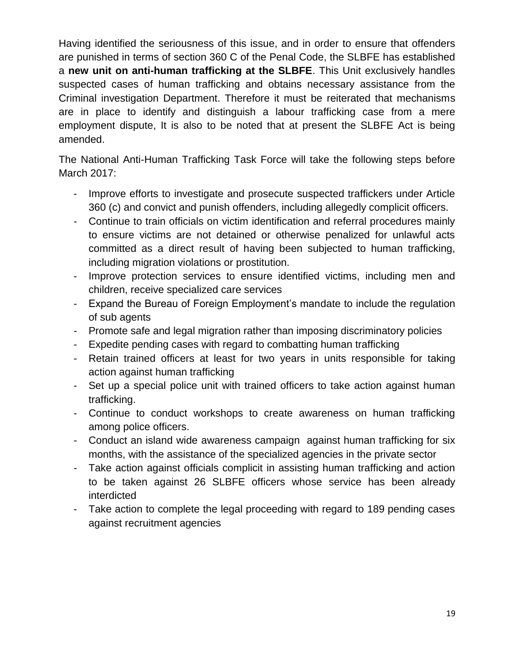Having identified the seriousness of this issue, and in order to ensure that offenders are punished in terms of section 360 C of the Penal Code, the SLBFE has established a **new unit on anti-human trafficking at the SLBFE**. This Unit exclusively handles suspected cases of human trafficking and obtains necessary assistance from the Criminal investigation Department. Therefore it must be reiterated that mechanisms are in place to identify and distinguish a labour trafficking case from a mere employment dispute, It is also to be noted that at present the SLBFE Act is being amended.

The National Anti-Human Trafficking Task Force will take the following steps before March 2017:

- Improve efforts to investigate and prosecute suspected traffickers under Article 360 (c) and convict and punish offenders, including allegedly complicit officers.
- Continue to train officials on victim identification and referral procedures mainly to ensure victims are not detained or otherwise penalized for unlawful acts committed as a direct result of having been subjected to human trafficking, including migration violations or prostitution.
- Improve protection services to ensure identified victims, including men and children, receive specialized care services
- Expand the Bureau of Foreign Employment's mandate to include the regulation of sub agents
- Promote safe and legal migration rather than imposing discriminatory policies
- Expedite pending cases with regard to combatting human trafficking
- Retain trained officers at least for two years in units responsible for taking action against human trafficking
- Set up a special police unit with trained officers to take action against human trafficking.
- Continue to conduct workshops to create awareness on human trafficking among police officers.
- Conduct an island wide awareness campaign against human trafficking for six months, with the assistance of the specialized agencies in the private sector
- Take action against officials complicit in assisting human trafficking and action to be taken against 26 SLBFE officers whose service has been already interdicted
- Take action to complete the legal proceeding with regard to 189 pending cases against recruitment agencies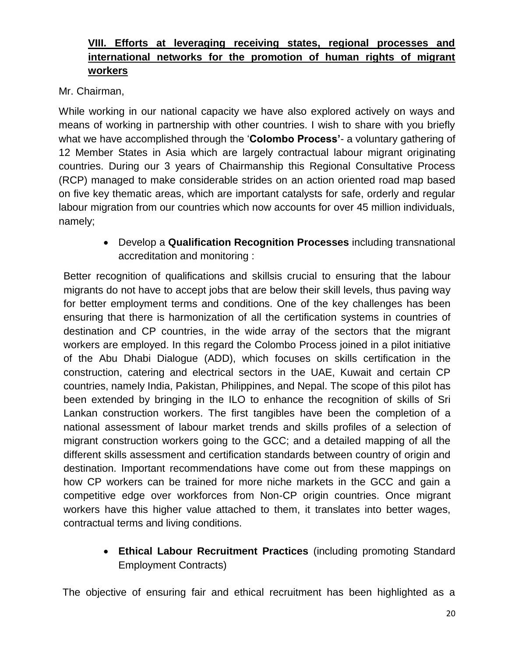# **VIII. Efforts at leveraging receiving states, regional processes and international networks for the promotion of human rights of migrant workers**

Mr. Chairman,

While working in our national capacity we have also explored actively on ways and means of working in partnership with other countries. I wish to share with you briefly what we have accomplished through the '**Colombo Process'**- a voluntary gathering of 12 Member States in Asia which are largely contractual labour migrant originating countries. During our 3 years of Chairmanship this Regional Consultative Process (RCP) managed to make considerable strides on an action oriented road map based on five key thematic areas, which are important catalysts for safe, orderly and regular labour migration from our countries which now accounts for over 45 million individuals, namely;

> Develop a **Qualification Recognition Processes** including transnational accreditation and monitoring :

Better recognition of qualifications and skillsis crucial to ensuring that the labour migrants do not have to accept jobs that are below their skill levels, thus paving way for better employment terms and conditions. One of the key challenges has been ensuring that there is harmonization of all the certification systems in countries of destination and CP countries, in the wide array of the sectors that the migrant workers are employed. In this regard the Colombo Process joined in a pilot initiative of the Abu Dhabi Dialogue (ADD), which focuses on skills certification in the construction, catering and electrical sectors in the UAE, Kuwait and certain CP countries, namely India, Pakistan, Philippines, and Nepal. The scope of this pilot has been extended by bringing in the ILO to enhance the recognition of skills of Sri Lankan construction workers. The first tangibles have been the completion of a national assessment of labour market trends and skills profiles of a selection of migrant construction workers going to the GCC; and a detailed mapping of all the different skills assessment and certification standards between country of origin and destination. Important recommendations have come out from these mappings on how CP workers can be trained for more niche markets in the GCC and gain a competitive edge over workforces from Non-CP origin countries. Once migrant workers have this higher value attached to them, it translates into better wages, contractual terms and living conditions.

> **Ethical Labour Recruitment Practices** (including promoting Standard Employment Contracts)

The objective of ensuring fair and ethical recruitment has been highlighted as a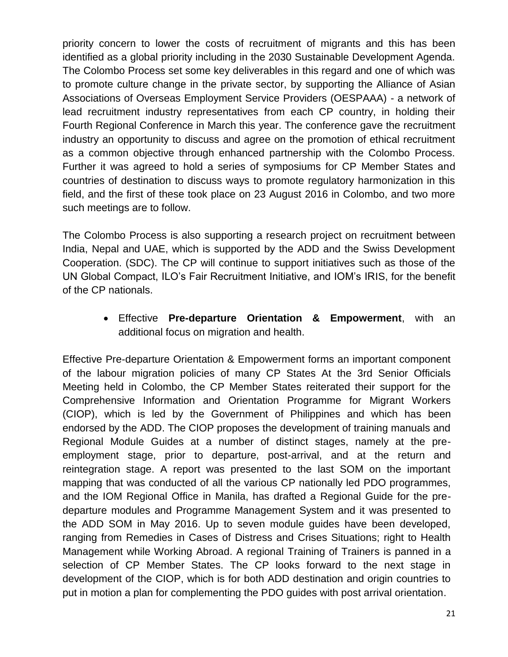priority concern to lower the costs of recruitment of migrants and this has been identified as a global priority including in the 2030 Sustainable Development Agenda. The Colombo Process set some key deliverables in this regard and one of which was to promote culture change in the private sector, by supporting the Alliance of Asian Associations of Overseas Employment Service Providers (OESPAAA) - a network of lead recruitment industry representatives from each CP country, in holding their Fourth Regional Conference in March this year. The conference gave the recruitment industry an opportunity to discuss and agree on the promotion of ethical recruitment as a common objective through enhanced partnership with the Colombo Process. Further it was agreed to hold a series of symposiums for CP Member States and countries of destination to discuss ways to promote regulatory harmonization in this field, and the first of these took place on 23 August 2016 in Colombo, and two more such meetings are to follow.

The Colombo Process is also supporting a research project on recruitment between India, Nepal and UAE, which is supported by the ADD and the Swiss Development Cooperation. (SDC). The CP will continue to support initiatives such as those of the UN Global Compact, ILO's Fair Recruitment Initiative, and IOM's IRIS, for the benefit of the CP nationals.

> Effective **Pre-departure Orientation & Empowerment**, with an additional focus on migration and health.

Effective Pre-departure Orientation & Empowerment forms an important component of the labour migration policies of many CP States At the 3rd Senior Officials Meeting held in Colombo, the CP Member States reiterated their support for the Comprehensive Information and Orientation Programme for Migrant Workers (CIOP), which is led by the Government of Philippines and which has been endorsed by the ADD. The CIOP proposes the development of training manuals and Regional Module Guides at a number of distinct stages, namely at the preemployment stage, prior to departure, post-arrival, and at the return and reintegration stage. A report was presented to the last SOM on the important mapping that was conducted of all the various CP nationally led PDO programmes, and the IOM Regional Office in Manila, has drafted a Regional Guide for the predeparture modules and Programme Management System and it was presented to the ADD SOM in May 2016. Up to seven module guides have been developed, ranging from Remedies in Cases of Distress and Crises Situations; right to Health Management while Working Abroad. A regional Training of Trainers is panned in a selection of CP Member States. The CP looks forward to the next stage in development of the CIOP, which is for both ADD destination and origin countries to put in motion a plan for complementing the PDO guides with post arrival orientation.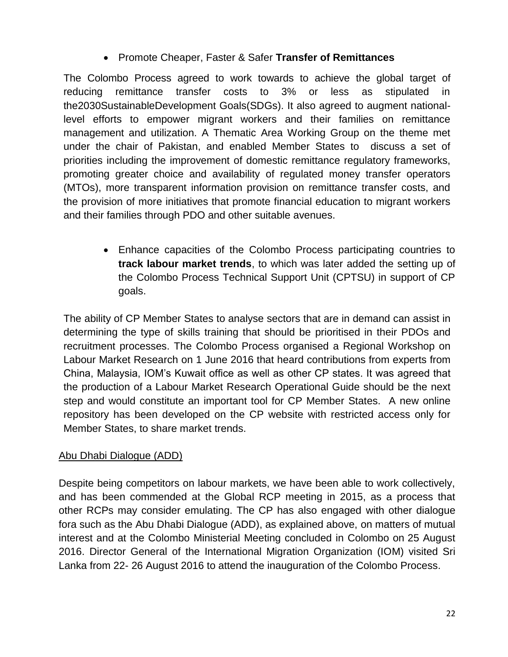# Promote Cheaper, Faster & Safer **Transfer of Remittances**

The Colombo Process agreed to work towards to achieve the global target of reducing remittance transfer costs to 3% or less as stipulated in the2030SustainableDevelopment Goals(SDGs). It also agreed to augment nationallevel efforts to empower migrant workers and their families on remittance management and utilization. A Thematic Area Working Group on the theme met under the chair of Pakistan, and enabled Member States to discuss a set of priorities including the improvement of domestic remittance regulatory frameworks, promoting greater choice and availability of regulated money transfer operators (MTOs), more transparent information provision on remittance transfer costs, and the provision of more initiatives that promote financial education to migrant workers and their families through PDO and other suitable avenues.

> Enhance capacities of the Colombo Process participating countries to **track labour market trends**, to which was later added the setting up of the Colombo Process Technical Support Unit (CPTSU) in support of CP goals.

The ability of CP Member States to analyse sectors that are in demand can assist in determining the type of skills training that should be prioritised in their PDOs and recruitment processes. The Colombo Process organised a Regional Workshop on Labour Market Research on 1 June 2016 that heard contributions from experts from China, Malaysia, IOM's Kuwait office as well as other CP states. It was agreed that the production of a Labour Market Research Operational Guide should be the next step and would constitute an important tool for CP Member States. A new online repository has been developed on the CP website with restricted access only for Member States, to share market trends.

#### Abu Dhabi Dialogue (ADD)

Despite being competitors on labour markets, we have been able to work collectively, and has been commended at the Global RCP meeting in 2015, as a process that other RCPs may consider emulating. The CP has also engaged with other dialogue fora such as the Abu Dhabi Dialogue (ADD), as explained above, on matters of mutual interest and at the Colombo Ministerial Meeting concluded in Colombo on 25 August 2016. Director General of the International Migration Organization (IOM) visited Sri Lanka from 22- 26 August 2016 to attend the inauguration of the Colombo Process.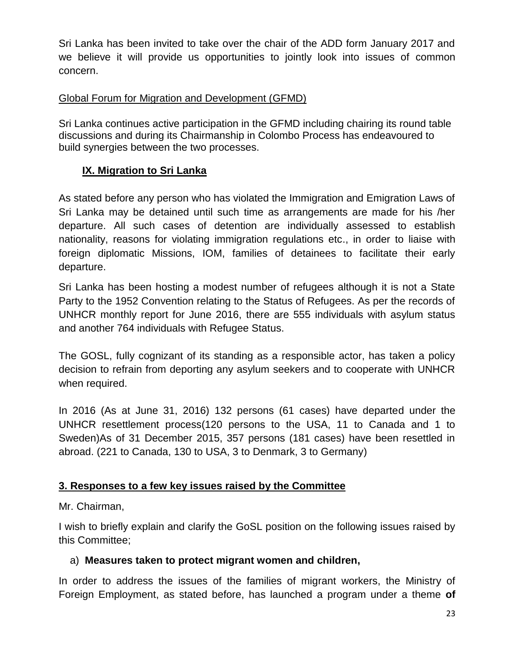Sri Lanka has been invited to take over the chair of the ADD form January 2017 and we believe it will provide us opportunities to jointly look into issues of common concern.

#### Global Forum for Migration and Development (GFMD)

Sri Lanka continues active participation in the GFMD including chairing its round table discussions and during its Chairmanship in Colombo Process has endeavoured to build synergies between the two processes.

#### **IX. Migration to Sri Lanka**

As stated before any person who has violated the Immigration and Emigration Laws of Sri Lanka may be detained until such time as arrangements are made for his /her departure. All such cases of detention are individually assessed to establish nationality, reasons for violating immigration regulations etc., in order to liaise with foreign diplomatic Missions, IOM, families of detainees to facilitate their early departure.

Sri Lanka has been hosting a modest number of refugees although it is not a State Party to the 1952 Convention relating to the Status of Refugees. As per the records of UNHCR monthly report for June 2016, there are 555 individuals with asylum status and another 764 individuals with Refugee Status.

The GOSL, fully cognizant of its standing as a responsible actor, has taken a policy decision to refrain from deporting any asylum seekers and to cooperate with UNHCR when required.

In 2016 (As at June 31, 2016) 132 persons (61 cases) have departed under the UNHCR resettlement process(120 persons to the USA, 11 to Canada and 1 to Sweden)As of 31 December 2015, 357 persons (181 cases) have been resettled in abroad. (221 to Canada, 130 to USA, 3 to Denmark, 3 to Germany)

#### **3. Responses to a few key issues raised by the Committee**

Mr. Chairman,

I wish to briefly explain and clarify the GoSL position on the following issues raised by this Committee;

#### a) **Measures taken to protect migrant women and children,**

In order to address the issues of the families of migrant workers, the Ministry of Foreign Employment, as stated before, has launched a program under a theme **of**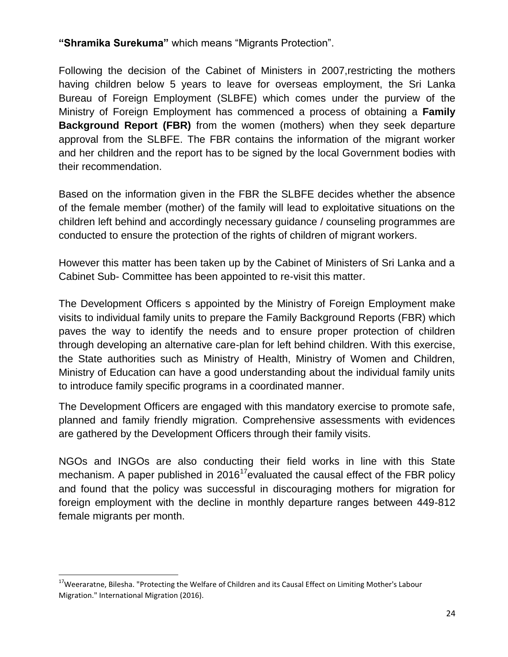**"Shramika Surekuma"** which means "Migrants Protection".

Following the decision of the Cabinet of Ministers in 2007,restricting the mothers having children below 5 years to leave for overseas employment, the Sri Lanka Bureau of Foreign Employment (SLBFE) which comes under the purview of the Ministry of Foreign Employment has commenced a process of obtaining a **Family Background Report (FBR)** from the women (mothers) when they seek departure approval from the SLBFE. The FBR contains the information of the migrant worker and her children and the report has to be signed by the local Government bodies with their recommendation.

Based on the information given in the FBR the SLBFE decides whether the absence of the female member (mother) of the family will lead to exploitative situations on the children left behind and accordingly necessary guidance / counseling programmes are conducted to ensure the protection of the rights of children of migrant workers.

However this matter has been taken up by the Cabinet of Ministers of Sri Lanka and a Cabinet Sub- Committee has been appointed to re-visit this matter.

The Development Officers s appointed by the Ministry of Foreign Employment make visits to individual family units to prepare the Family Background Reports (FBR) which paves the way to identify the needs and to ensure proper protection of children through developing an alternative care-plan for left behind children. With this exercise, the State authorities such as Ministry of Health, Ministry of Women and Children, Ministry of Education can have a good understanding about the individual family units to introduce family specific programs in a coordinated manner.

The Development Officers are engaged with this mandatory exercise to promote safe, planned and family friendly migration. Comprehensive assessments with evidences are gathered by the Development Officers through their family visits.

NGOs and INGOs are also conducting their field works in line with this State mechanism. A paper published in 2016<sup>17</sup> evaluated the causal effect of the FBR policy and found that the policy was successful in discouraging mothers for migration for foreign employment with the decline in monthly departure ranges between 449-812 female migrants per month.

<sup>&</sup>lt;sup>17</sup>Weeraratne, Bilesha. "Protecting the Welfare of Children and its Causal Effect on Limiting Mother's Labour Migration." International Migration (2016).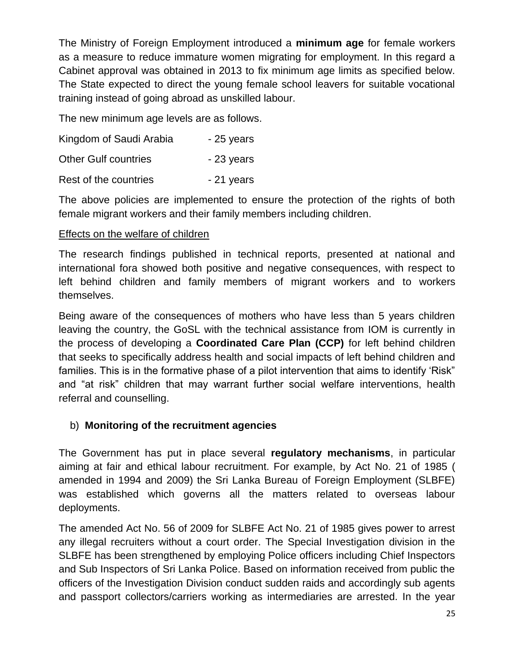The Ministry of Foreign Employment introduced a **minimum age** for female workers as a measure to reduce immature women migrating for employment. In this regard a Cabinet approval was obtained in 2013 to fix minimum age limits as specified below. The State expected to direct the young female school leavers for suitable vocational training instead of going abroad as unskilled labour.

The new minimum age levels are as follows.

| Kingdom of Saudi Arabia     | $-25$ years |
|-----------------------------|-------------|
| <b>Other Gulf countries</b> | - 23 years  |
| Rest of the countries       | - 21 years  |

The above policies are implemented to ensure the protection of the rights of both female migrant workers and their family members including children.

#### Effects on the welfare of children

The research findings published in technical reports, presented at national and international fora showed both positive and negative consequences, with respect to left behind children and family members of migrant workers and to workers themselves.

Being aware of the consequences of mothers who have less than 5 years children leaving the country, the GoSL with the technical assistance from IOM is currently in the process of developing a **Coordinated Care Plan (CCP)** for left behind children that seeks to specifically address health and social impacts of left behind children and families. This is in the formative phase of a pilot intervention that aims to identify 'Risk" and "at risk" children that may warrant further social welfare interventions, health referral and counselling.

#### b) **Monitoring of the recruitment agencies**

The Government has put in place several **regulatory mechanisms**, in particular aiming at fair and ethical labour recruitment. For example, by Act No. 21 of 1985 ( amended in 1994 and 2009) the Sri Lanka Bureau of Foreign Employment (SLBFE) was established which governs all the matters related to overseas labour deployments.

The amended Act No. 56 of 2009 for SLBFE Act No. 21 of 1985 gives power to arrest any illegal recruiters without a court order. The Special Investigation division in the SLBFE has been strengthened by employing Police officers including Chief Inspectors and Sub Inspectors of Sri Lanka Police. Based on information received from public the officers of the Investigation Division conduct sudden raids and accordingly sub agents and passport collectors/carriers working as intermediaries are arrested. In the year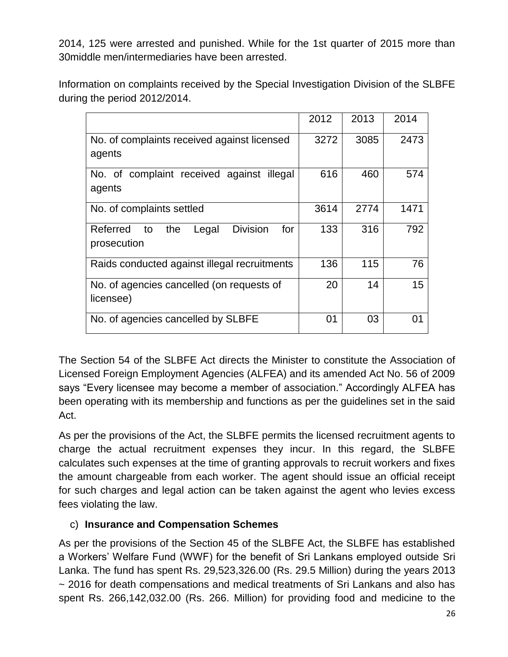2014, 125 were arrested and punished. While for the 1st quarter of 2015 more than 30middle men/intermediaries have been arrested.

Information on complaints received by the Special Investigation Division of the SLBFE during the period 2012/2014.

|                                                                         | 2012 | 2013 | 2014 |
|-------------------------------------------------------------------------|------|------|------|
| No. of complaints received against licensed<br>agents                   | 3272 | 3085 | 2473 |
| No. of complaint received against<br>illegal<br>agents                  | 616  | 460  | 574  |
| No. of complaints settled                                               | 3614 | 2774 | 1471 |
| <b>Division</b><br>Referred<br>the<br>Legal<br>for<br>to<br>prosecution | 133  | 316  | 792  |
| Raids conducted against illegal recruitments                            | 136  | 115  | 76   |
| No. of agencies cancelled (on requests of<br>licensee)                  | 20   | 14   | 15   |
| No. of agencies cancelled by SLBFE                                      | 01   | 03   | 01   |

The Section 54 of the SLBFE Act directs the Minister to constitute the Association of Licensed Foreign Employment Agencies (ALFEA) and its amended Act No. 56 of 2009 says "Every licensee may become a member of association." Accordingly ALFEA has been operating with its membership and functions as per the guidelines set in the said Act.

As per the provisions of the Act, the SLBFE permits the licensed recruitment agents to charge the actual recruitment expenses they incur. In this regard, the SLBFE calculates such expenses at the time of granting approvals to recruit workers and fixes the amount chargeable from each worker. The agent should issue an official receipt for such charges and legal action can be taken against the agent who levies excess fees violating the law.

#### c) **Insurance and Compensation Schemes**

As per the provisions of the Section 45 of the SLBFE Act, the SLBFE has established a Workers' Welfare Fund (WWF) for the benefit of Sri Lankans employed outside Sri Lanka. The fund has spent Rs. 29,523,326.00 (Rs. 29.5 Million) during the years 2013 ~ 2016 for death compensations and medical treatments of Sri Lankans and also has spent Rs. 266,142,032.00 (Rs. 266. Million) for providing food and medicine to the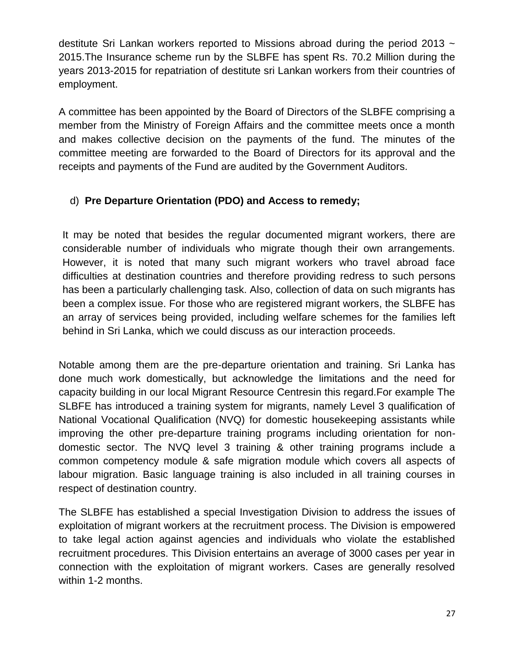destitute Sri Lankan workers reported to Missions abroad during the period 2013  $\sim$ 2015.The Insurance scheme run by the SLBFE has spent Rs. 70.2 Million during the years 2013-2015 for repatriation of destitute sri Lankan workers from their countries of employment.

A committee has been appointed by the Board of Directors of the SLBFE comprising a member from the Ministry of Foreign Affairs and the committee meets once a month and makes collective decision on the payments of the fund. The minutes of the committee meeting are forwarded to the Board of Directors for its approval and the receipts and payments of the Fund are audited by the Government Auditors.

# d) **Pre Departure Orientation (PDO) and Access to remedy;**

It may be noted that besides the regular documented migrant workers, there are considerable number of individuals who migrate though their own arrangements. However, it is noted that many such migrant workers who travel abroad face difficulties at destination countries and therefore providing redress to such persons has been a particularly challenging task. Also, collection of data on such migrants has been a complex issue. For those who are registered migrant workers, the SLBFE has an array of services being provided, including welfare schemes for the families left behind in Sri Lanka, which we could discuss as our interaction proceeds.

Notable among them are the pre-departure orientation and training. Sri Lanka has done much work domestically, but acknowledge the limitations and the need for capacity building in our local Migrant Resource Centresin this regard.For example The SLBFE has introduced a training system for migrants, namely Level 3 qualification of National Vocational Qualification (NVQ) for domestic housekeeping assistants while improving the other pre-departure training programs including orientation for nondomestic sector. The NVQ level 3 training & other training programs include a common competency module & safe migration module which covers all aspects of labour migration. Basic language training is also included in all training courses in respect of destination country.

The SLBFE has established a special Investigation Division to address the issues of exploitation of migrant workers at the recruitment process. The Division is empowered to take legal action against agencies and individuals who violate the established recruitment procedures. This Division entertains an average of 3000 cases per year in connection with the exploitation of migrant workers. Cases are generally resolved within 1-2 months.